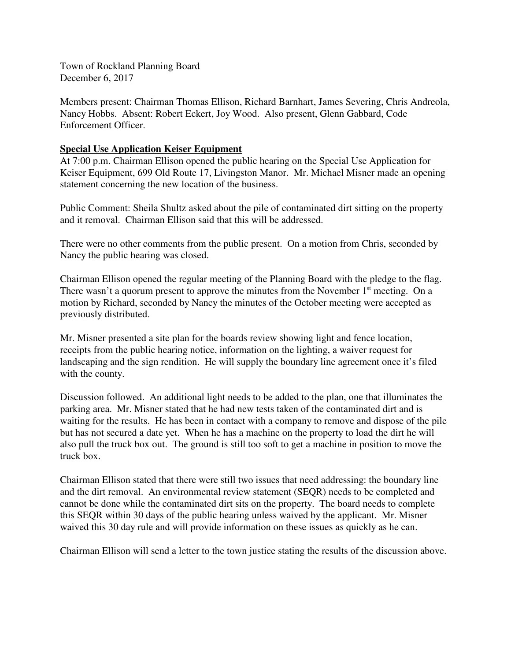Town of Rockland Planning Board December 6, 2017

Members present: Chairman Thomas Ellison, Richard Barnhart, James Severing, Chris Andreola, Nancy Hobbs. Absent: Robert Eckert, Joy Wood. Also present, Glenn Gabbard, Code Enforcement Officer.

## **Special Use Application Keiser Equipment**

At 7:00 p.m. Chairman Ellison opened the public hearing on the Special Use Application for Keiser Equipment, 699 Old Route 17, Livingston Manor. Mr. Michael Misner made an opening statement concerning the new location of the business.

Public Comment: Sheila Shultz asked about the pile of contaminated dirt sitting on the property and it removal. Chairman Ellison said that this will be addressed.

There were no other comments from the public present. On a motion from Chris, seconded by Nancy the public hearing was closed.

Chairman Ellison opened the regular meeting of the Planning Board with the pledge to the flag. There wasn't a quorum present to approve the minutes from the November  $1<sup>st</sup>$  meeting. On a motion by Richard, seconded by Nancy the minutes of the October meeting were accepted as previously distributed.

Mr. Misner presented a site plan for the boards review showing light and fence location, receipts from the public hearing notice, information on the lighting, a waiver request for landscaping and the sign rendition. He will supply the boundary line agreement once it's filed with the county.

Discussion followed. An additional light needs to be added to the plan, one that illuminates the parking area. Mr. Misner stated that he had new tests taken of the contaminated dirt and is waiting for the results. He has been in contact with a company to remove and dispose of the pile but has not secured a date yet. When he has a machine on the property to load the dirt he will also pull the truck box out. The ground is still too soft to get a machine in position to move the truck box.

Chairman Ellison stated that there were still two issues that need addressing: the boundary line and the dirt removal. An environmental review statement (SEQR) needs to be completed and cannot be done while the contaminated dirt sits on the property. The board needs to complete this SEQR within 30 days of the public hearing unless waived by the applicant. Mr. Misner waived this 30 day rule and will provide information on these issues as quickly as he can.

Chairman Ellison will send a letter to the town justice stating the results of the discussion above.